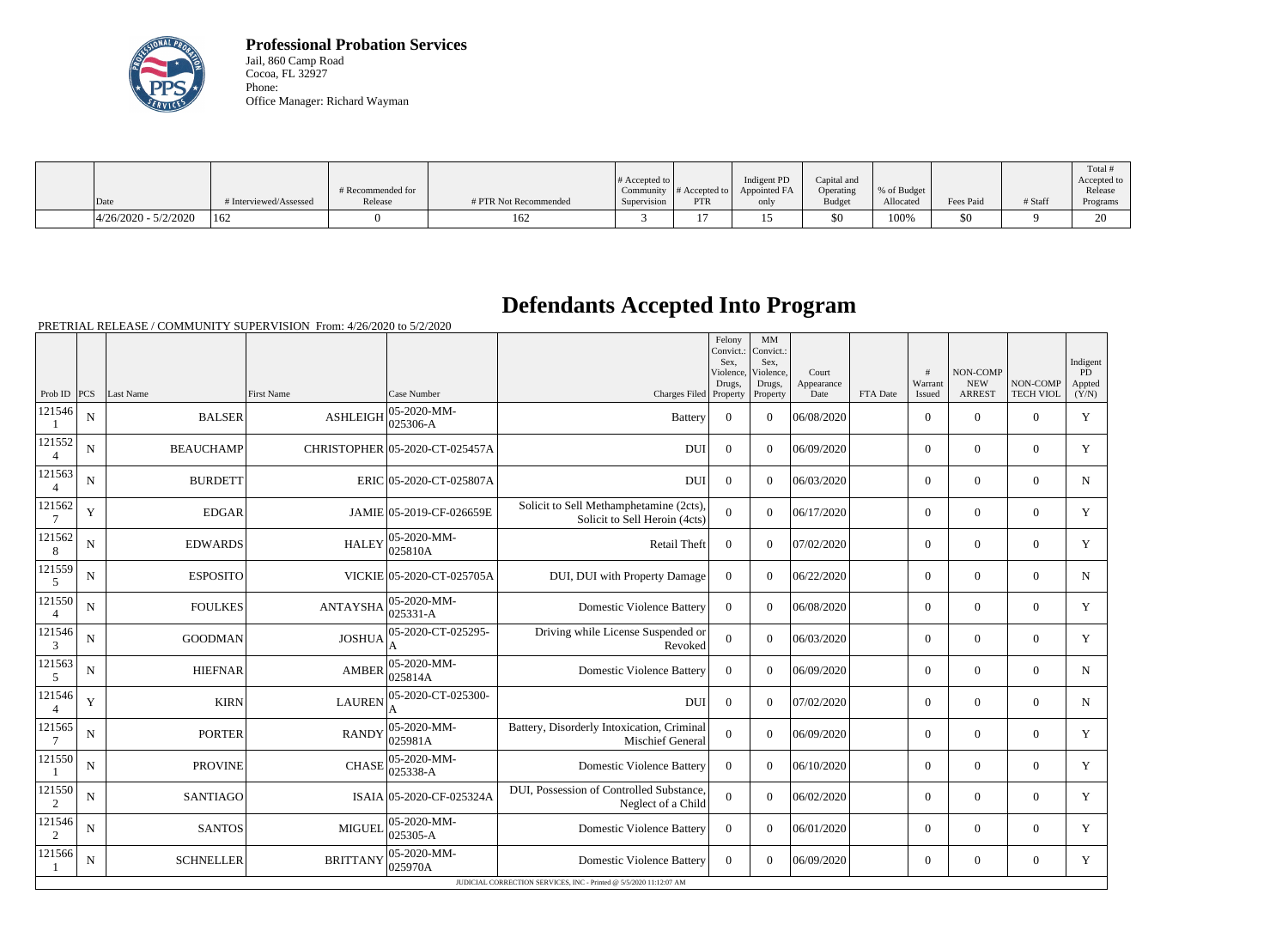

**Professional Probation Services** Jail, 860 Camp Road Cocoa, FL 32927 Phone: Office Manager: Richard Wayman

|                          |                        |                   |                       |                       |               |              |               |             |           |         | Total #        |
|--------------------------|------------------------|-------------------|-----------------------|-----------------------|---------------|--------------|---------------|-------------|-----------|---------|----------------|
|                          |                        |                   |                       | # Accepted to $\vert$ |               | Indigent PD  | Capital and   |             |           |         | Accepted to    |
|                          |                        | # Recommended for |                       | Community             | # Accepted to | Appointed FA | Operating     | % of Budget |           |         | Release        |
| Date                     | # Interviewed/Assessed | Release           | # PTR Not Recommended | Supervision           | <b>PTR</b>    | only         | <b>Budget</b> | Allocated   | Fees Paid | # Staff | Programs       |
| $ 4/26/2020 - 5/2/2020 $ | 162                    |                   | 162                   |                       |               | ⊥ັ           | \$0           | 100%        | \$0       |         | $\Omega$<br>∠∪ |

## **Defendants Accepted Into Program**

PRETRIAL RELEASE / COMMUNITY SUPERVISION From: 4/26/2020 to 5/2/2020

|                          |             |                  |                       |                                 |                                                                          | Felony<br>Convict.:<br>Sex.<br>Violence, | MM<br>Convict.:<br>Sex.<br>Violence, | Court              |          | #                 | <b>NON-COMP</b>             |                              | Indigent<br><b>PD</b> |
|--------------------------|-------------|------------------|-----------------------|---------------------------------|--------------------------------------------------------------------------|------------------------------------------|--------------------------------------|--------------------|----------|-------------------|-----------------------------|------------------------------|-----------------------|
| Prob ID $ PCS $          |             | Last Name        | <b>First Name</b>     | Case Number                     | Charges Filed Property                                                   | Drugs,                                   | Drugs,<br>Property                   | Appearance<br>Date | FTA Date | Warrant<br>Issued | <b>NEW</b><br><b>ARREST</b> | NON-COMP<br><b>TECH VIOL</b> | Appted<br>(Y/N)       |
| 121546                   | $\mathbf N$ | <b>BALSER</b>    | <b>ASHLEIGH</b>       | 05-2020-MM-<br>025306-A         | <b>Battery</b>                                                           | $\overline{0}$                           | $\Omega$                             | 06/08/2020         |          | $\Omega$          | $\theta$                    | $\Omega$                     | Y                     |
| 121552                   | N           | <b>BEAUCHAMP</b> |                       | CHRISTOPHER 05-2020-CT-025457A  | <b>DUI</b>                                                               | $\theta$                                 | $\Omega$                             | 06/09/2020         |          | $\overline{0}$    | $\overline{0}$              | $\overline{0}$               | Y                     |
| 121563<br>$\overline{4}$ | $\mathbf N$ | <b>BURDETT</b>   |                       | ERIC 05-2020-CT-025807A         | <b>DUI</b>                                                               | $\overline{0}$                           | $\Omega$                             | 06/03/2020         |          | $\Omega$          | $\theta$                    | $\Omega$                     | $\mathbf N$           |
| 121562                   | Y           | <b>EDGAR</b>     |                       | JAMIE 05-2019-CF-026659E        | Solicit to Sell Methamphetamine (2cts),<br>Solicit to Sell Heroin (4cts) | $\Omega$                                 | $\Omega$                             | 06/17/2020         |          | $\overline{0}$    | $\theta$                    | $\overline{0}$               | Y                     |
| 121562<br>8              | $\mathbf N$ | <b>EDWARDS</b>   | <b>HALEY</b>          | 05-2020-MM-<br>025810A          | <b>Retail Theft</b>                                                      | $\boldsymbol{0}$                         | $\Omega$                             | 07/02/2020         |          | $\overline{0}$    | $\theta$                    | $\overline{0}$               | Y                     |
| 121559<br>5              | $\mathbf N$ | <b>ESPOSITO</b>  |                       | VICKIE 05-2020-CT-025705A       | DUI, DUI with Property Damage                                            | $\boldsymbol{0}$                         | $\Omega$                             | 06/22/2020         |          | $\overline{0}$    | $\theta$                    | $\overline{0}$               | $\mathbf N$           |
| 121550<br>$\overline{4}$ | N           | <b>FOULKES</b>   | $ANTAYSHA$ $025331-A$ | $ 05 - 2020 - MM -$             | <b>Domestic Violence Battery</b>                                         | $\overline{0}$                           | $\Omega$                             | 06/08/2020         |          | $\overline{0}$    | $\theta$                    | $\Omega$                     | Y                     |
| 121546<br>$\mathfrak{Z}$ | $\mathbf N$ | <b>GOODMAN</b>   | <b>JOSHUA</b>         | 05-2020-CT-025295-              | Driving while License Suspended or<br>Revoked                            | $\overline{0}$                           | $\Omega$                             | 06/03/2020         |          | $\overline{0}$    | $\theta$                    | $\overline{0}$               | Y                     |
| 121563<br>5              | N           | <b>HIEFNAR</b>   | <b>AMBER</b>          | 05-2020-MM-<br>025814A          | <b>Domestic Violence Battery</b>                                         | $\Omega$                                 | $\Omega$                             | 06/09/2020         |          | $\overline{0}$    | $\mathbf{0}$                | $\Omega$                     | $\mathbf N$           |
| 121546                   | Y           | <b>KIRN</b>      | <b>LAUREN</b>         | 05-2020-CT-025300-              | <b>DUI</b>                                                               | $\Omega$                                 | $\Omega$                             | 07/02/2020         |          | $\overline{0}$    | $\theta$                    | $\overline{0}$               | $\mathbf N$           |
| 121565                   | ${\bf N}$   | <b>PORTER</b>    | <b>RANDY</b>          | 05-2020-MM-<br>025981A          | Battery, Disorderly Intoxication, Criminal<br><b>Mischief General</b>    | $\overline{0}$                           | $\Omega$                             | 06/09/2020         |          | $\overline{0}$    | $\boldsymbol{0}$            | $\overline{0}$               | Y                     |
| 121550                   | $\mathbf N$ | <b>PROVINE</b>   | <b>CHASE</b>          | 05-2020-MM-<br>025338-A         | <b>Domestic Violence Battery</b>                                         | $\mathbf{0}$                             | $\Omega$                             | 06/10/2020         |          | $\overline{0}$    | $\Omega$                    | $\overline{0}$               | Y                     |
| 121550<br>2              | N           | <b>SANTIAGO</b>  |                       | ISAIA 05-2020-CF-025324A        | DUI, Possession of Controlled Substance,<br>Neglect of a Child           | $\overline{0}$                           | $\Omega$                             | 06/02/2020         |          | $\overline{0}$    | $\theta$                    | $\Omega$                     | Y                     |
| 121546<br>2              | $\mathbf N$ | <b>SANTOS</b>    | <b>MIGUEL</b>         | $ 05 - 2020 - MM -$<br>025305-A | <b>Domestic Violence Battery</b>                                         | $\theta$                                 | $\Omega$                             | 06/01/2020         |          | $\overline{0}$    | $\theta$                    | $\Omega$                     | Y                     |
| 121566                   | $\mathbf N$ | <b>SCHNELLER</b> | <b>BRITTANY</b>       | 05-2020-MM-<br>025970A          | <b>Domestic Violence Battery</b>                                         | $\boldsymbol{0}$                         | $\Omega$                             | 06/09/2020         |          | $\overline{0}$    | $\boldsymbol{0}$            | $\overline{0}$               | Y                     |
|                          |             |                  |                       |                                 | JUDICIAL CORRECTION SERVICES, INC - Printed @ 5/5/2020 11:12:07 AM       |                                          |                                      |                    |          |                   |                             |                              |                       |